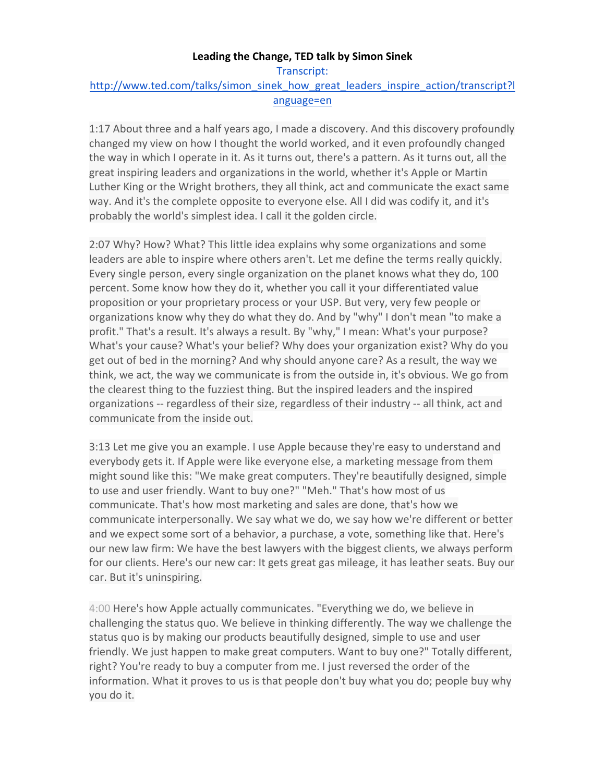## **Leading the Change, TED talk by Simon Sinek**

Transcript: http://www.ted.com/talks/simon\_sinek\_how\_great\_leaders\_inspire\_action/transcript?l anguage=en

1:17 About three and a half years ago, I made a discovery. And this discovery profoundly changed my view on how I thought the world worked, and it even profoundly changed the way in which I operate in it. As it turns out, there's a pattern. As it turns out, all the great inspiring leaders and organizations in the world, whether it's Apple or Martin Luther King or the Wright brothers, they all think, act and communicate the exact same way. And it's the complete opposite to everyone else. All I did was codify it, and it's probably the world's simplest idea. I call it the golden circle.

2:07 Why? How? What? This little idea explains why some organizations and some leaders are able to inspire where others aren't. Let me define the terms really quickly. Every single person, every single organization on the planet knows what they do, 100 percent. Some know how they do it, whether you call it your differentiated value proposition or your proprietary process or your USP. But very, very few people or organizations know why they do what they do. And by "why" I don't mean "to make a profit." That's a result. It's always a result. By "why," I mean: What's your purpose? What's your cause? What's your belief? Why does your organization exist? Why do you get out of bed in the morning? And why should anyone care? As a result, the way we think, we act, the way we communicate is from the outside in, it's obvious. We go from the clearest thing to the fuzziest thing. But the inspired leaders and the inspired organizations -- regardless of their size, regardless of their industry -- all think, act and communicate from the inside out.

3:13 Let me give you an example. I use Apple because they're easy to understand and everybody gets it. If Apple were like everyone else, a marketing message from them might sound like this: "We make great computers. They're beautifully designed, simple to use and user friendly. Want to buy one?" "Meh." That's how most of us communicate. That's how most marketing and sales are done, that's how we communicate interpersonally. We say what we do, we say how we're different or better and we expect some sort of a behavior, a purchase, a vote, something like that. Here's our new law firm: We have the best lawyers with the biggest clients, we always perform for our clients. Here's our new car: It gets great gas mileage, it has leather seats. Buy our car. But it's uninspiring.

4:00 Here's how Apple actually communicates. "Everything we do, we believe in challenging the status quo. We believe in thinking differently. The way we challenge the status quo is by making our products beautifully designed, simple to use and user friendly. We just happen to make great computers. Want to buy one?" Totally different, right? You're ready to buy a computer from me. I just reversed the order of the information. What it proves to us is that people don't buy what you do; people buy why you do it.